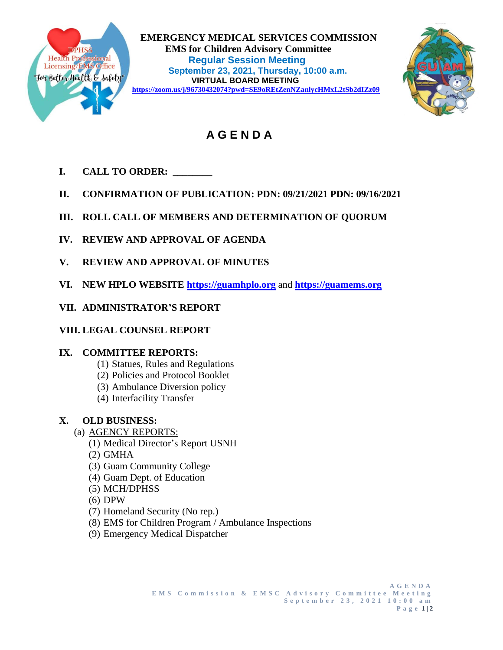

 **EMERGENCY MEDICAL SERVICES COMMISSION EMS for Children Advisory Committee<br>
Health Professional<br>
Licensing/EMS Office<br>
Sontombor 22, 2021, Thursday, 10:00.2020 Regular Session Meeting EXECUTE: September 23, 2021, Thursday, 10:00 a.m.**<br> **September 23, 2021, Thursday, 10:00 a.m.**<br> **September 23, 2021, Thursday, 10:00 a.m. VIRTUAL BOARD MEETING <https://zoom.us/j/96730432074?pwd=SE9oREtZenNZanlycHMxL2tSb2dIZz09>**



# **A G E N D A**

- **I. CALL TO ORDER: \_\_\_\_\_\_\_\_**
- **II. CONFIRMATION OF PUBLICATION: PDN: 09/21/2021 PDN: 09/16/2021**
- **III. ROLL CALL OF MEMBERS AND DETERMINATION OF QUORUM**
- **IV. REVIEW AND APPROVAL OF AGENDA**
- **V. REVIEW AND APPROVAL OF MINUTES**
- **VI. NEW HPLO WEBSITE [https://guamhplo.org](https://guamhplo.org/)** and **[https://guamems.org](https://guamems.org/)**
- **VII. ADMINISTRATOR'S REPORT**
- **VIII. LEGAL COUNSEL REPORT**

## **IX. COMMITTEE REPORTS:**

- (1) Statues, Rules and Regulations
- (2) Policies and Protocol Booklet
- (3) Ambulance Diversion policy
- (4) Interfacility Transfer

## **X. OLD BUSINESS:**

- (a) AGENCY REPORTS:
	- (1) Medical Director's Report USNH
	- (2) GMHA
	- (3) Guam Community College
	- (4) Guam Dept. of Education
	- (5) MCH/DPHSS
	- (6) DPW
	- (7) Homeland Security (No rep.)
	- (8) EMS for Children Program / Ambulance Inspections
	- (9) Emergency Medical Dispatcher